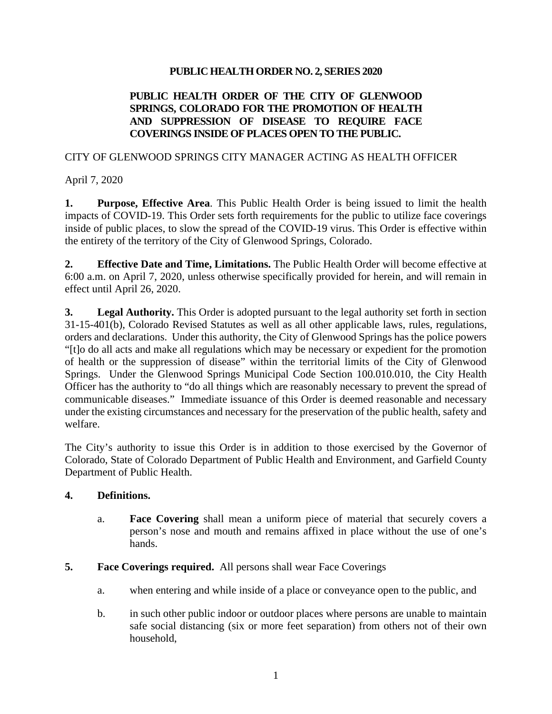#### **PUBLIC HEALTH ORDER NO. 2, SERIES 2020**

### **PUBLIC HEALTH ORDER OF THE CITY OF GLENWOOD SPRINGS, COLORADO FOR THE PROMOTION OF HEALTH AND SUPPRESSION OF DISEASE TO REQUIRE FACE COVERINGS INSIDE OF PLACES OPEN TO THE PUBLIC.**

#### CITY OF GLENWOOD SPRINGS CITY MANAGER ACTING AS HEALTH OFFICER

April 7, 2020

**1. Purpose, Effective Area**. This Public Health Order is being issued to limit the health impacts of COVID-19. This Order sets forth requirements for the public to utilize face coverings inside of public places, to slow the spread of the COVID-19 virus. This Order is effective within the entirety of the territory of the City of Glenwood Springs, Colorado.

**2. Effective Date and Time, Limitations.** The Public Health Order will become effective at 6:00 a.m. on April 7, 2020, unless otherwise specifically provided for herein, and will remain in effect until April 26, 2020.

**3. Legal Authority.** This Order is adopted pursuant to the legal authority set forth in section 31-15-401(b), Colorado Revised Statutes as well as all other applicable laws, rules, regulations, orders and declarations. Under this authority, the City of Glenwood Springs has the police powers "[t]o do all acts and make all regulations which may be necessary or expedient for the promotion of health or the suppression of disease" within the territorial limits of the City of Glenwood Springs. Under the Glenwood Springs Municipal Code Section 100.010.010, the City Health Officer has the authority to "do all things which are reasonably necessary to prevent the spread of communicable diseases." Immediate issuance of this Order is deemed reasonable and necessary under the existing circumstances and necessary for the preservation of the public health, safety and welfare.

The City's authority to issue this Order is in addition to those exercised by the Governor of Colorado, State of Colorado Department of Public Health and Environment, and Garfield County Department of Public Health.

### **4. Definitions.**

a. **Face Covering** shall mean a uniform piece of material that securely covers a person's nose and mouth and remains affixed in place without the use of one's hands.

### **5. Face Coverings required.** All persons shall wear Face Coverings

- a. when entering and while inside of a place or conveyance open to the public, and
- b. in such other public indoor or outdoor places where persons are unable to maintain safe social distancing (six or more feet separation) from others not of their own household,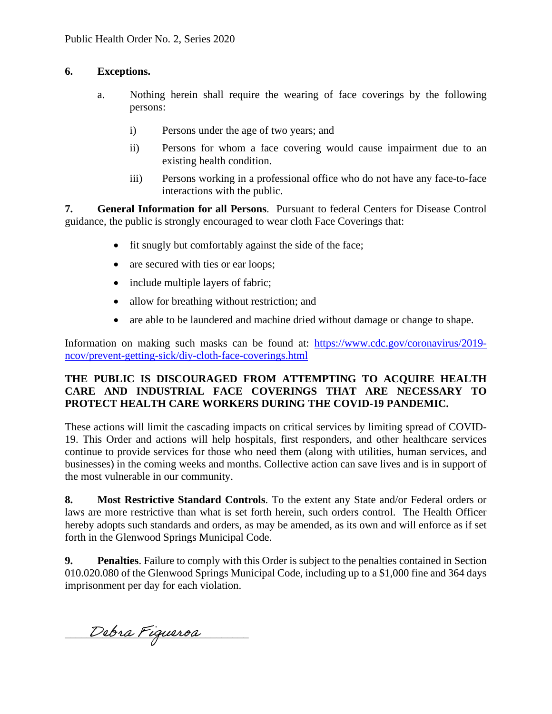# **6. Exceptions.**

- a. Nothing herein shall require the wearing of face coverings by the following persons:
	- i) Persons under the age of two years; and
	- ii) Persons for whom a face covering would cause impairment due to an existing health condition.
	- iii) Persons working in a professional office who do not have any face-to-face interactions with the public.

**7. General Information for all Persons**. Pursuant to federal Centers for Disease Control guidance, the public is strongly encouraged to wear cloth Face Coverings that:

- fit snugly but comfortably against the side of the face;
- are secured with ties or ear loops;
- include multiple layers of fabric;
- allow for breathing without restriction; and
- are able to be laundered and machine dried without damage or change to shape.

Information on making such masks can be found at: https://www.cdc.gov/coronavirus/2019 ncov/prevent-getting-sick/diy-cloth-face-coverings.html

# **THE PUBLIC IS DISCOURAGED FROM ATTEMPTING TO ACQUIRE HEALTH CARE AND INDUSTRIAL FACE COVERINGS THAT ARE NECESSARY TO PROTECT HEALTH CARE WORKERS DURING THE COVID-19 PANDEMIC.**

These actions will limit the cascading impacts on critical services by limiting spread of COVID-19. This Order and actions will help hospitals, first responders, and other healthcare services continue to provide services for those who need them (along with utilities, human services, and businesses) in the coming weeks and months. Collective action can save lives and is in support of the most vulnerable in our community.

**8. Most Restrictive Standard Controls**. To the extent any State and/or Federal orders or laws are more restrictive than what is set forth herein, such orders control. The Health Officer hereby adopts such standards and orders, as may be amended, as its own and will enforce as if set forth in the Glenwood Springs Municipal Code.

**9. Penalties**. Failure to comply with this Order is subject to the penalties contained in Section 010.020.080 of the Glenwood Springs Municipal Code, including up to a \$1,000 fine and 364 days imprisonment per day for each violation.

\_\_\_\_\_\_\_\_\_\_\_\_\_\_\_\_\_\_\_\_\_\_\_ Debra Figueroa\_\_\_\_\_\_\_\_\_\_\_